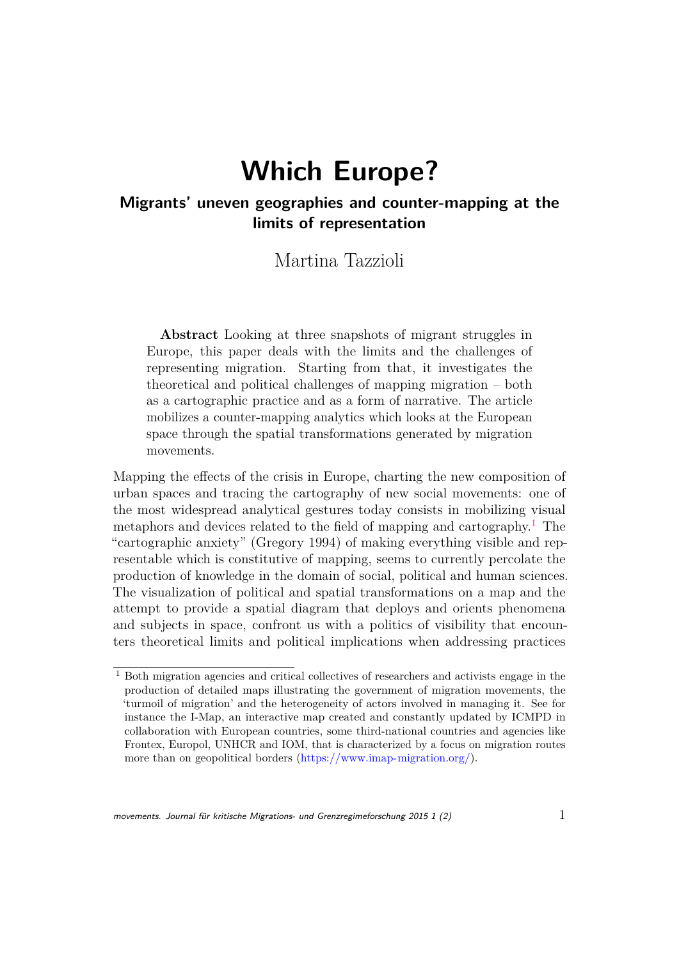# **Which Europe?**

#### **Migrants' uneven geographies and counter-mapping at the limits of representation**

Martina Tazzioli

**Abstract** Looking at three snapshots of migrant struggles in Europe, this paper deals with the limits and the challenges of representing migration. Starting from that, it investigates the theoretical and political challenges of mapping migration – both as a cartographic practice and as a form of narrative. The article mobilizes a counter-mapping analytics which looks at the European space through the spatial transformations generated by migration movements.

Mapping the effects of the crisis in Europe, charting the new composition of urban spaces and tracing the cartography of new social movements: one of the most widespread analytical gestures today consists in mobilizing visual metaphors and devices related to the field of mapping and cartography.<sup>[1](#page-0-0)</sup> The "cartographic anxiety" (Gregory 1994) of making everything visible and representable which is constitutive of mapping, seems to currently percolate the production of knowledge in the domain of social, political and human sciences. The visualization of political and spatial transformations on a map and the attempt to provide a spatial diagram that deploys and orients phenomena and subjects in space, confront us with a politics of visibility that encounters theoretical limits and political implications when addressing practices

<span id="page-0-0"></span><sup>1</sup> Both migration agencies and critical collectives of researchers and activists engage in the production of detailed maps illustrating the government of migration movements, the 'turmoil of migration' and the heterogeneity of actors involved in managing it. See for instance the I-Map, an interactive map created and constantly updated by ICMPD in collaboration with European countries, some third-national countries and agencies like Frontex, Europol, UNHCR and IOM, that is characterized by a focus on migration routes more than on geopolitical borders [\(https://www.imap-migration.org/\)](https://www.imap-migration.org/).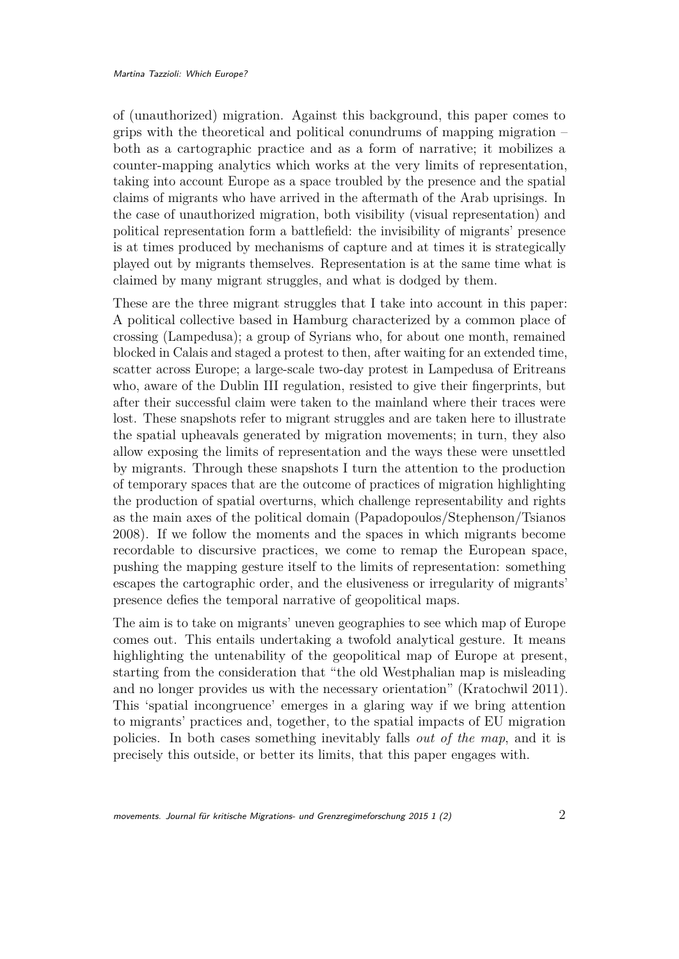of (unauthorized) migration. Against this background, this paper comes to grips with the theoretical and political conundrums of mapping migration – both as a cartographic practice and as a form of narrative; it mobilizes a counter-mapping analytics which works at the very limits of representation, taking into account Europe as a space troubled by the presence and the spatial claims of migrants who have arrived in the aftermath of the Arab uprisings. In the case of unauthorized migration, both visibility (visual representation) and political representation form a battlefield: the invisibility of migrants' presence is at times produced by mechanisms of capture and at times it is strategically played out by migrants themselves. Representation is at the same time what is claimed by many migrant struggles, and what is dodged by them.

These are the three migrant struggles that I take into account in this paper: A political collective based in Hamburg characterized by a common place of crossing (Lampedusa); a group of Syrians who, for about one month, remained blocked in Calais and staged a protest to then, after waiting for an extended time, scatter across Europe; a large-scale two-day protest in Lampedusa of Eritreans who, aware of the Dublin III regulation, resisted to give their fingerprints, but after their successful claim were taken to the mainland where their traces were lost. These snapshots refer to migrant struggles and are taken here to illustrate the spatial upheavals generated by migration movements; in turn, they also allow exposing the limits of representation and the ways these were unsettled by migrants. Through these snapshots I turn the attention to the production of temporary spaces that are the outcome of practices of migration highlighting the production of spatial overturns, which challenge representability and rights as the main axes of the political domain (Papadopoulos/Stephenson/Tsianos 2008). If we follow the moments and the spaces in which migrants become recordable to discursive practices, we come to remap the European space, pushing the mapping gesture itself to the limits of representation: something escapes the cartographic order, and the elusiveness or irregularity of migrants' presence defies the temporal narrative of geopolitical maps.

The aim is to take on migrants' uneven geographies to see which map of Europe comes out. This entails undertaking a twofold analytical gesture. It means highlighting the untenability of the geopolitical map of Europe at present, starting from the consideration that "the old Westphalian map is misleading and no longer provides us with the necessary orientation" (Kratochwil 2011). This 'spatial incongruence' emerges in a glaring way if we bring attention to migrants' practices and, together, to the spatial impacts of EU migration policies. In both cases something inevitably falls *out of the map*, and it is precisely this outside, or better its limits, that this paper engages with.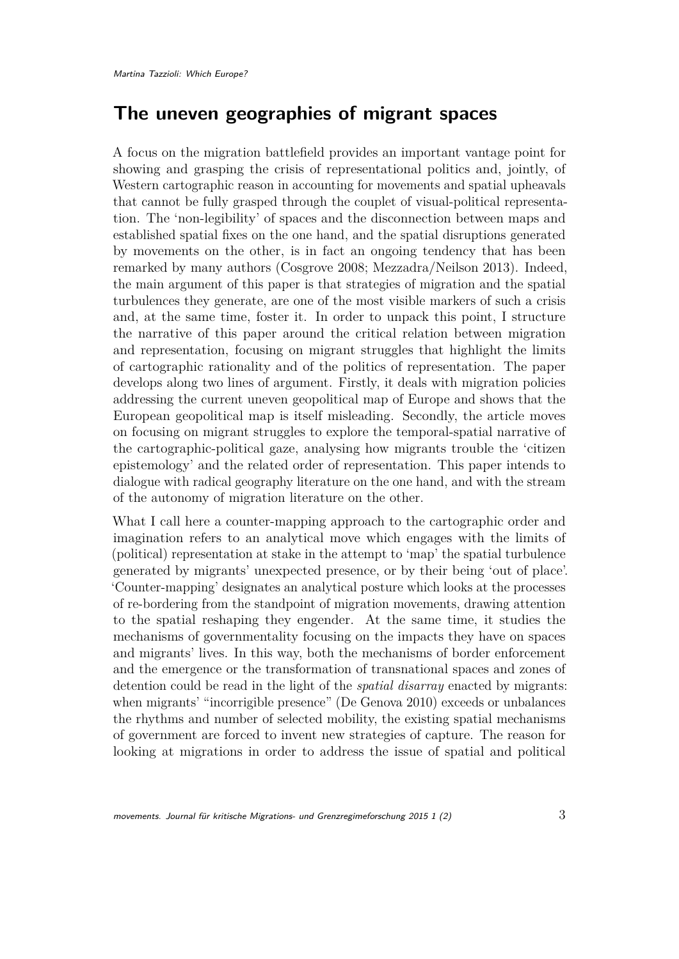### **The uneven geographies of migrant spaces**

A focus on the migration battlefield provides an important vantage point for showing and grasping the crisis of representational politics and, jointly, of Western cartographic reason in accounting for movements and spatial upheavals that cannot be fully grasped through the couplet of visual-political representation. The 'non-legibility' of spaces and the disconnection between maps and established spatial fixes on the one hand, and the spatial disruptions generated by movements on the other, is in fact an ongoing tendency that has been remarked by many authors (Cosgrove 2008; Mezzadra/Neilson 2013). Indeed, the main argument of this paper is that strategies of migration and the spatial turbulences they generate, are one of the most visible markers of such a crisis and, at the same time, foster it. In order to unpack this point, I structure the narrative of this paper around the critical relation between migration and representation, focusing on migrant struggles that highlight the limits of cartographic rationality and of the politics of representation. The paper develops along two lines of argument. Firstly, it deals with migration policies addressing the current uneven geopolitical map of Europe and shows that the European geopolitical map is itself misleading. Secondly, the article moves on focusing on migrant struggles to explore the temporal-spatial narrative of the cartographic-political gaze, analysing how migrants trouble the 'citizen epistemology' and the related order of representation. This paper intends to dialogue with radical geography literature on the one hand, and with the stream of the autonomy of migration literature on the other.

What I call here a counter-mapping approach to the cartographic order and imagination refers to an analytical move which engages with the limits of (political) representation at stake in the attempt to 'map' the spatial turbulence generated by migrants' unexpected presence, or by their being 'out of place'. 'Counter-mapping' designates an analytical posture which looks at the processes of re-bordering from the standpoint of migration movements, drawing attention to the spatial reshaping they engender. At the same time, it studies the mechanisms of governmentality focusing on the impacts they have on spaces and migrants' lives. In this way, both the mechanisms of border enforcement and the emergence or the transformation of transnational spaces and zones of detention could be read in the light of the *spatial disarray* enacted by migrants: when migrants' "incorrigible presence" (De Genova 2010) exceeds or unbalances the rhythms and number of selected mobility, the existing spatial mechanisms of government are forced to invent new strategies of capture. The reason for looking at migrations in order to address the issue of spatial and political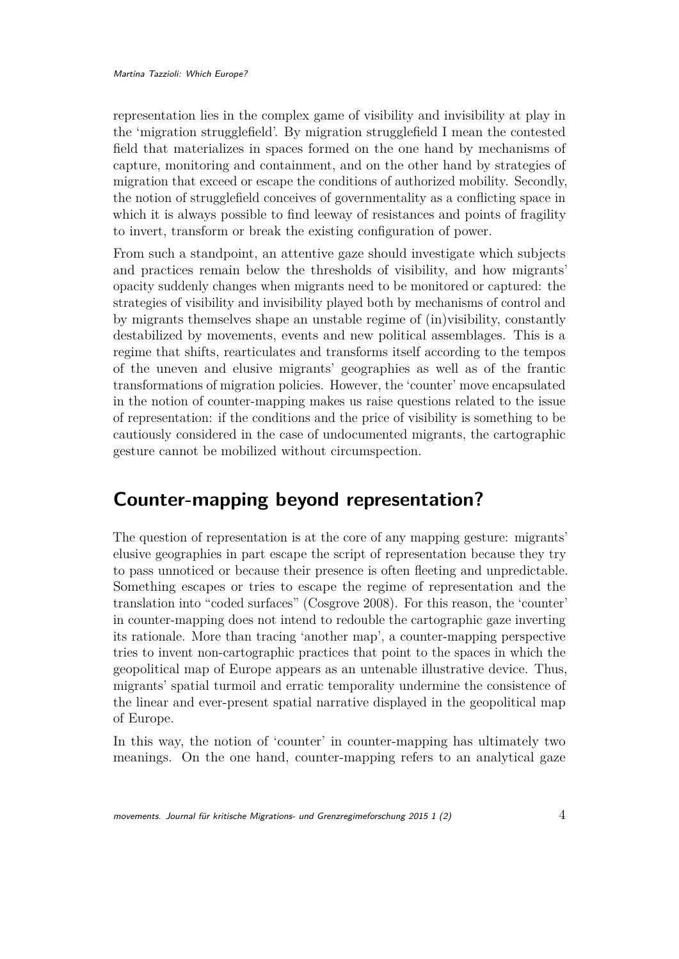representation lies in the complex game of visibility and invisibility at play in the 'migration strugglefield'. By migration strugglefield I mean the contested field that materializes in spaces formed on the one hand by mechanisms of capture, monitoring and containment, and on the other hand by strategies of migration that exceed or escape the conditions of authorized mobility. Secondly, the notion of strugglefield conceives of governmentality as a conflicting space in which it is always possible to find leeway of resistances and points of fragility to invert, transform or break the existing configuration of power.

From such a standpoint, an attentive gaze should investigate which subjects and practices remain below the thresholds of visibility, and how migrants' opacity suddenly changes when migrants need to be monitored or captured: the strategies of visibility and invisibility played both by mechanisms of control and by migrants themselves shape an unstable regime of (in)visibility, constantly destabilized by movements, events and new political assemblages. This is a regime that shifts, rearticulates and transforms itself according to the tempos of the uneven and elusive migrants' geographies as well as of the frantic transformations of migration policies. However, the 'counter' move encapsulated in the notion of counter-mapping makes us raise questions related to the issue of representation: if the conditions and the price of visibility is something to be cautiously considered in the case of undocumented migrants, the cartographic gesture cannot be mobilized without circumspection.

### **Counter-mapping beyond representation?**

The question of representation is at the core of any mapping gesture: migrants' elusive geographies in part escape the script of representation because they try to pass unnoticed or because their presence is often fleeting and unpredictable. Something escapes or tries to escape the regime of representation and the translation into "coded surfaces" (Cosgrove 2008). For this reason, the 'counter' in counter-mapping does not intend to redouble the cartographic gaze inverting its rationale. More than tracing 'another map', a counter-mapping perspective tries to invent non-cartographic practices that point to the spaces in which the geopolitical map of Europe appears as an untenable illustrative device. Thus, migrants' spatial turmoil and erratic temporality undermine the consistence of the linear and ever-present spatial narrative displayed in the geopolitical map of Europe.

In this way, the notion of 'counter' in counter-mapping has ultimately two meanings. On the one hand, counter-mapping refers to an analytical gaze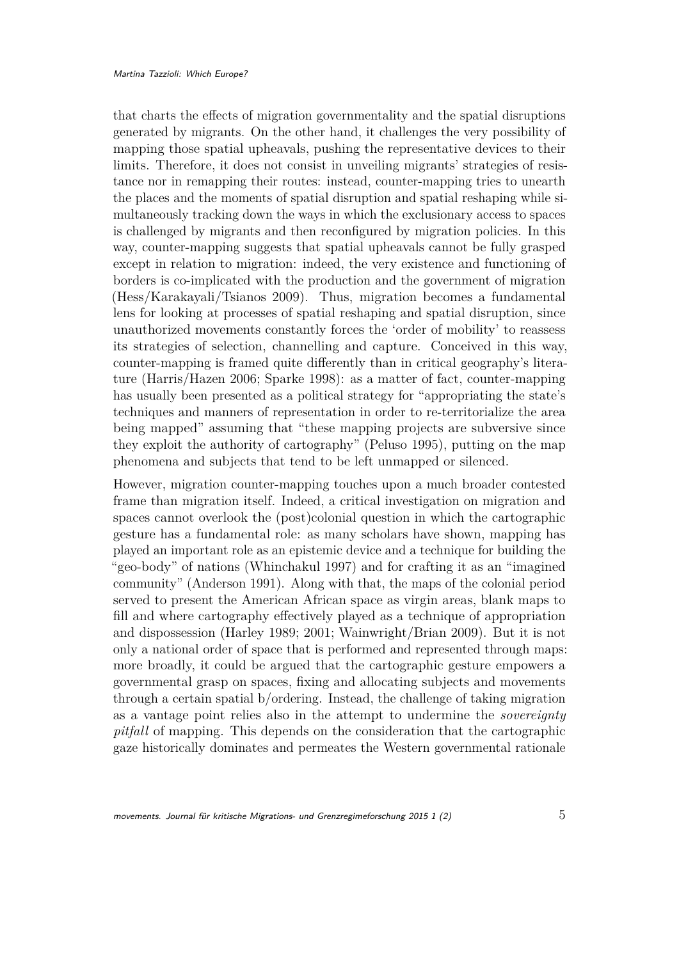that charts the effects of migration governmentality and the spatial disruptions generated by migrants. On the other hand, it challenges the very possibility of mapping those spatial upheavals, pushing the representative devices to their limits. Therefore, it does not consist in unveiling migrants' strategies of resistance nor in remapping their routes: instead, counter-mapping tries to unearth the places and the moments of spatial disruption and spatial reshaping while simultaneously tracking down the ways in which the exclusionary access to spaces is challenged by migrants and then reconfigured by migration policies. In this way, counter-mapping suggests that spatial upheavals cannot be fully grasped except in relation to migration: indeed, the very existence and functioning of borders is co-implicated with the production and the government of migration (Hess/Karakayali/Tsianos 2009). Thus, migration becomes a fundamental lens for looking at processes of spatial reshaping and spatial disruption, since unauthorized movements constantly forces the 'order of mobility' to reassess its strategies of selection, channelling and capture. Conceived in this way, counter-mapping is framed quite differently than in critical geography's literature (Harris/Hazen 2006; Sparke 1998): as a matter of fact, counter-mapping has usually been presented as a political strategy for "appropriating the state's techniques and manners of representation in order to re-territorialize the area being mapped" assuming that "these mapping projects are subversive since they exploit the authority of cartography" (Peluso 1995), putting on the map phenomena and subjects that tend to be left unmapped or silenced.

However, migration counter-mapping touches upon a much broader contested frame than migration itself. Indeed, a critical investigation on migration and spaces cannot overlook the (post)colonial question in which the cartographic gesture has a fundamental role: as many scholars have shown, mapping has played an important role as an epistemic device and a technique for building the "geo-body" of nations (Whinchakul 1997) and for crafting it as an "imagined community" (Anderson 1991). Along with that, the maps of the colonial period served to present the American African space as virgin areas, blank maps to fill and where cartography effectively played as a technique of appropriation and dispossession (Harley 1989; 2001; Wainwright/Brian 2009). But it is not only a national order of space that is performed and represented through maps: more broadly, it could be argued that the cartographic gesture empowers a governmental grasp on spaces, fixing and allocating subjects and movements through a certain spatial b/ordering. Instead, the challenge of taking migration as a vantage point relies also in the attempt to undermine the *sovereignty pitfall* of mapping. This depends on the consideration that the cartographic gaze historically dominates and permeates the Western governmental rationale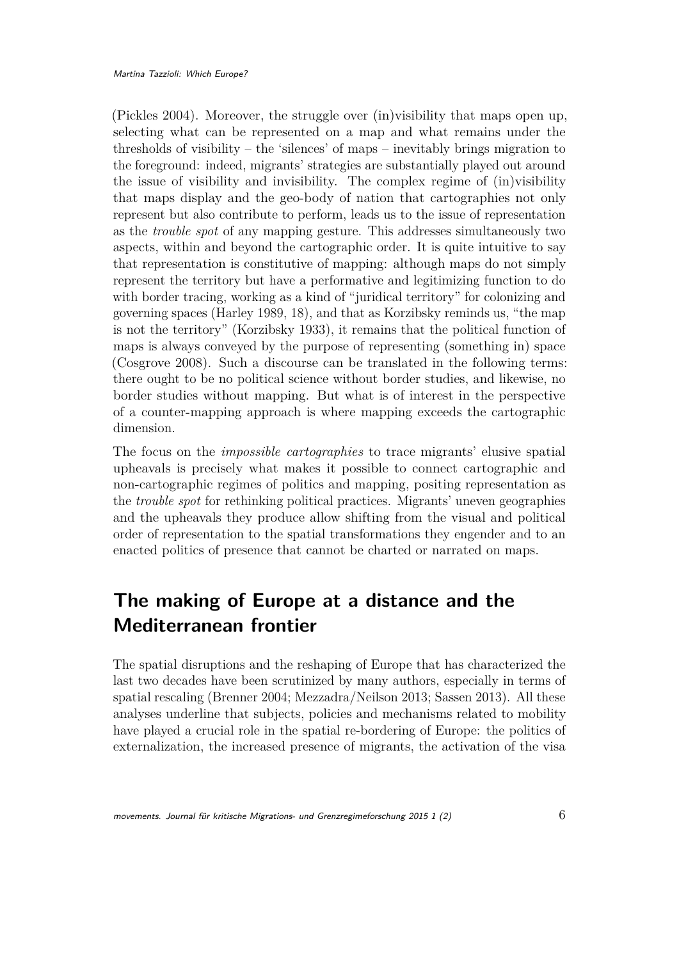(Pickles 2004). Moreover, the struggle over (in)visibility that maps open up, selecting what can be represented on a map and what remains under the thresholds of visibility – the 'silences' of maps – inevitably brings migration to the foreground: indeed, migrants' strategies are substantially played out around the issue of visibility and invisibility. The complex regime of (in)visibility that maps display and the geo-body of nation that cartographies not only represent but also contribute to perform, leads us to the issue of representation as the *trouble spot* of any mapping gesture. This addresses simultaneously two aspects, within and beyond the cartographic order. It is quite intuitive to say that representation is constitutive of mapping: although maps do not simply represent the territory but have a performative and legitimizing function to do with border tracing, working as a kind of "juridical territory" for colonizing and governing spaces (Harley 1989, 18), and that as Korzibsky reminds us, "the map is not the territory" (Korzibsky 1933), it remains that the political function of maps is always conveyed by the purpose of representing (something in) space (Cosgrove 2008). Such a discourse can be translated in the following terms: there ought to be no political science without border studies, and likewise, no border studies without mapping. But what is of interest in the perspective of a counter-mapping approach is where mapping exceeds the cartographic dimension.

The focus on the *impossible cartographies* to trace migrants' elusive spatial upheavals is precisely what makes it possible to connect cartographic and non-cartographic regimes of politics and mapping, positing representation as the *trouble spot* for rethinking political practices. Migrants' uneven geographies and the upheavals they produce allow shifting from the visual and political order of representation to the spatial transformations they engender and to an enacted politics of presence that cannot be charted or narrated on maps.

# **The making of Europe at a distance and the Mediterranean frontier**

The spatial disruptions and the reshaping of Europe that has characterized the last two decades have been scrutinized by many authors, especially in terms of spatial rescaling (Brenner 2004; Mezzadra/Neilson 2013; Sassen 2013). All these analyses underline that subjects, policies and mechanisms related to mobility have played a crucial role in the spatial re-bordering of Europe: the politics of externalization, the increased presence of migrants, the activation of the visa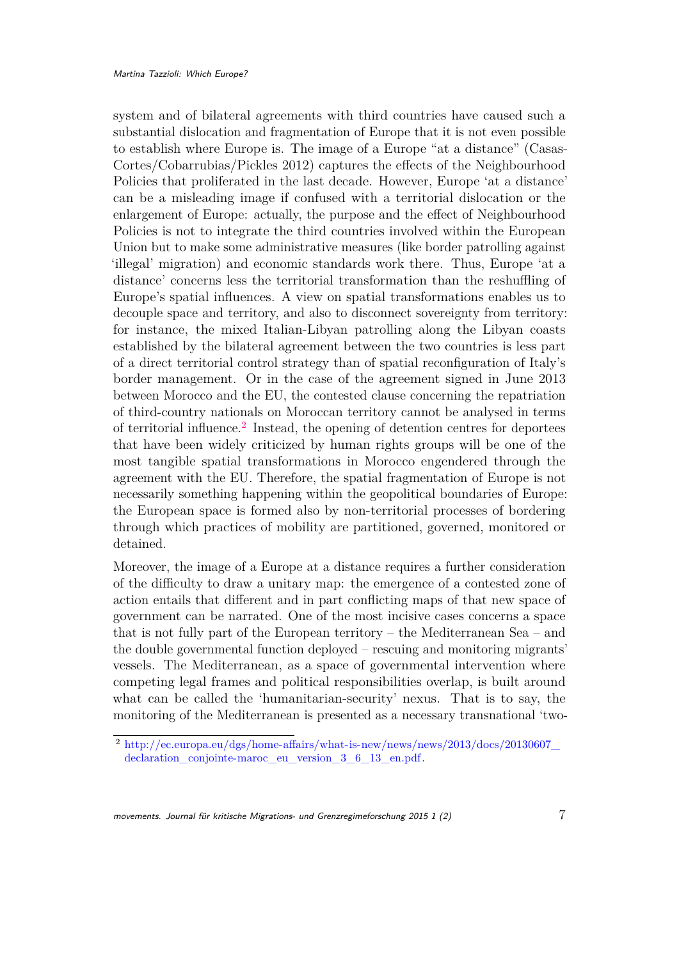system and of bilateral agreements with third countries have caused such a substantial dislocation and fragmentation of Europe that it is not even possible to establish where Europe is. The image of a Europe "at a distance" (Casas-Cortes/Cobarrubias/Pickles 2012) captures the effects of the Neighbourhood Policies that proliferated in the last decade. However, Europe 'at a distance' can be a misleading image if confused with a territorial dislocation or the enlargement of Europe: actually, the purpose and the effect of Neighbourhood Policies is not to integrate the third countries involved within the European Union but to make some administrative measures (like border patrolling against 'illegal' migration) and economic standards work there. Thus, Europe 'at a distance' concerns less the territorial transformation than the reshuffling of Europe's spatial influences. A view on spatial transformations enables us to decouple space and territory, and also to disconnect sovereignty from territory: for instance, the mixed Italian-Libyan patrolling along the Libyan coasts established by the bilateral agreement between the two countries is less part of a direct territorial control strategy than of spatial reconfiguration of Italy's border management. Or in the case of the agreement signed in June 2013 between Morocco and the EU, the contested clause concerning the repatriation of third-country nationals on Moroccan territory cannot be analysed in terms of territorial influence.<sup>[2](#page-6-0)</sup> Instead, the opening of detention centres for deportees that have been widely criticized by human rights groups will be one of the most tangible spatial transformations in Morocco engendered through the agreement with the EU. Therefore, the spatial fragmentation of Europe is not necessarily something happening within the geopolitical boundaries of Europe: the European space is formed also by non-territorial processes of bordering through which practices of mobility are partitioned, governed, monitored or detained.

Moreover, the image of a Europe at a distance requires a further consideration of the difficulty to draw a unitary map: the emergence of a contested zone of action entails that different and in part conflicting maps of that new space of government can be narrated. One of the most incisive cases concerns a space that is not fully part of the European territory – the Mediterranean Sea – and the double governmental function deployed – rescuing and monitoring migrants' vessels. The Mediterranean, as a space of governmental intervention where competing legal frames and political responsibilities overlap, is built around what can be called the 'humanitarian-security' nexus. That is to say, the monitoring of the Mediterranean is presented as a necessary transnational 'two-

movements. Journal für kritische Migrations- und Grenzregimeforschung 2015 1 (2) 7

<span id="page-6-0"></span><sup>2</sup> [http://ec.europa.eu/dgs/home-affairs/what-is-new/news/news/2013/docs/20130607\\_](http://ec.europa.eu/dgs/home-affairs/what-is-new/news/news/2013/docs/20130607_declaration_conjointe-maroc_eu_version_3_6_13_en.pdf) declaration conjointe-maroc eu version 3 6 13 en.pdf.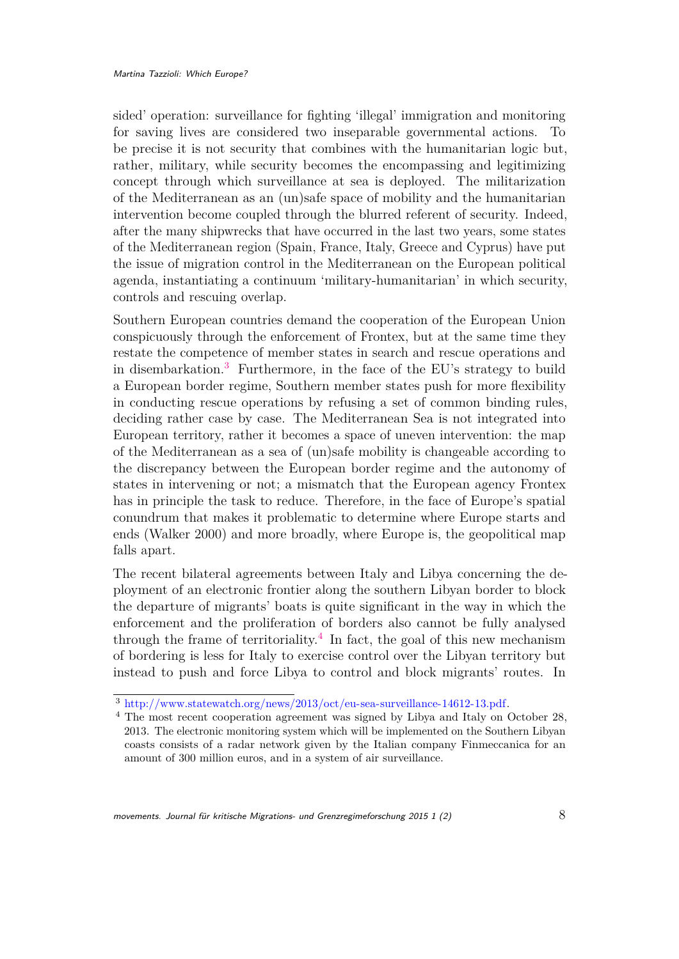sided' operation: surveillance for fighting 'illegal' immigration and monitoring for saving lives are considered two inseparable governmental actions. To be precise it is not security that combines with the humanitarian logic but, rather, military, while security becomes the encompassing and legitimizing concept through which surveillance at sea is deployed. The militarization of the Mediterranean as an (un)safe space of mobility and the humanitarian intervention become coupled through the blurred referent of security. Indeed, after the many shipwrecks that have occurred in the last two years, some states of the Mediterranean region (Spain, France, Italy, Greece and Cyprus) have put the issue of migration control in the Mediterranean on the European political agenda, instantiating a continuum 'military-humanitarian' in which security, controls and rescuing overlap.

Southern European countries demand the cooperation of the European Union conspicuously through the enforcement of Frontex, but at the same time they restate the competence of member states in search and rescue operations and in disembarkation.[3](#page-7-0) Furthermore, in the face of the EU's strategy to build a European border regime, Southern member states push for more flexibility in conducting rescue operations by refusing a set of common binding rules, deciding rather case by case. The Mediterranean Sea is not integrated into European territory, rather it becomes a space of uneven intervention: the map of the Mediterranean as a sea of (un)safe mobility is changeable according to the discrepancy between the European border regime and the autonomy of states in intervening or not; a mismatch that the European agency Frontex has in principle the task to reduce. Therefore, in the face of Europe's spatial conundrum that makes it problematic to determine where Europe starts and ends (Walker 2000) and more broadly, where Europe is, the geopolitical map falls apart.

The recent bilateral agreements between Italy and Libya concerning the deployment of an electronic frontier along the southern Libyan border to block the departure of migrants' boats is quite significant in the way in which the enforcement and the proliferation of borders also cannot be fully analysed through the frame of territoriality.<sup>[4](#page-7-1)</sup> In fact, the goal of this new mechanism of bordering is less for Italy to exercise control over the Libyan territory but instead to push and force Libya to control and block migrants' routes. In

<span id="page-7-0"></span><sup>3</sup> [http://www.statewatch.org/news/2013/oct/eu-sea-surveillance-14612-13.pdf.](http://www.statewatch.org/news/2013/oct/eu-sea-surveillance-14612-13.pdf)

<span id="page-7-1"></span><sup>4</sup> The most recent cooperation agreement was signed by Libya and Italy on October 28, 2013. The electronic monitoring system which will be implemented on the Southern Libyan coasts consists of a radar network given by the Italian company Finmeccanica for an amount of 300 million euros, and in a system of air surveillance.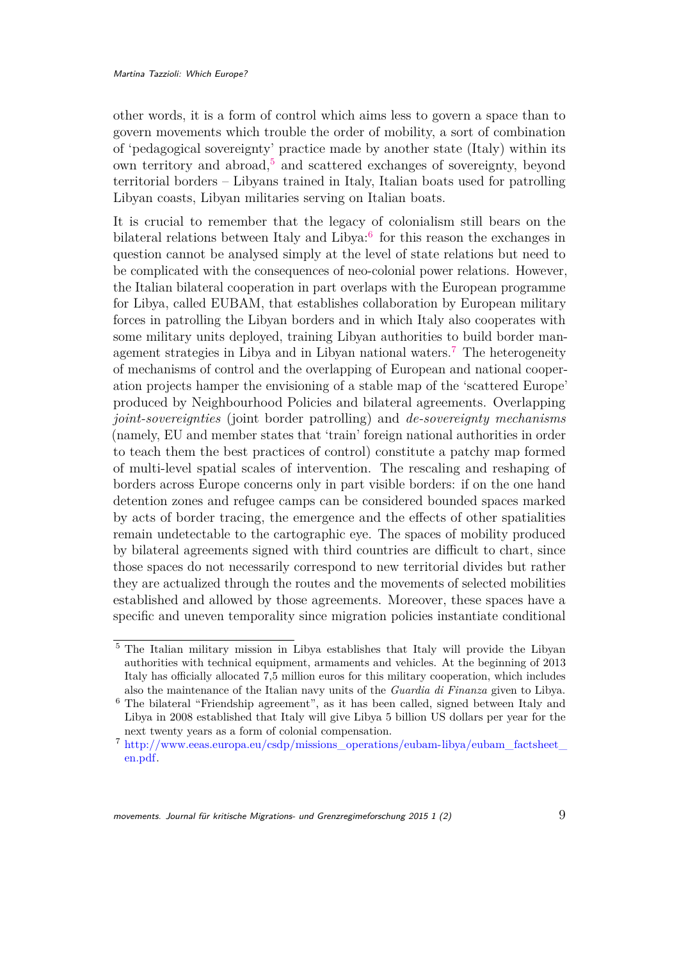other words, it is a form of control which aims less to govern a space than to govern movements which trouble the order of mobility, a sort of combination of 'pedagogical sovereignty' practice made by another state (Italy) within its own territory and abroad,<sup>[5](#page-8-0)</sup> and scattered exchanges of sovereignty, beyond territorial borders – Libyans trained in Italy, Italian boats used for patrolling Libyan coasts, Libyan militaries serving on Italian boats.

It is crucial to remember that the legacy of colonialism still bears on the bilateral relations between Italy and Libya:<sup>[6](#page-8-1)</sup> for this reason the exchanges in question cannot be analysed simply at the level of state relations but need to be complicated with the consequences of neo-colonial power relations. However, the Italian bilateral cooperation in part overlaps with the European programme for Libya, called EUBAM, that establishes collaboration by European military forces in patrolling the Libyan borders and in which Italy also cooperates with some military units deployed, training Libyan authorities to build border management strategies in Libya and in Libyan national waters.[7](#page-8-2) The heterogeneity of mechanisms of control and the overlapping of European and national cooperation projects hamper the envisioning of a stable map of the 'scattered Europe' produced by Neighbourhood Policies and bilateral agreements. Overlapping *joint-sovereignties* (joint border patrolling) and *de-sovereignty mechanisms* (namely, EU and member states that 'train' foreign national authorities in order to teach them the best practices of control) constitute a patchy map formed of multi-level spatial scales of intervention. The rescaling and reshaping of borders across Europe concerns only in part visible borders: if on the one hand detention zones and refugee camps can be considered bounded spaces marked by acts of border tracing, the emergence and the effects of other spatialities remain undetectable to the cartographic eye. The spaces of mobility produced by bilateral agreements signed with third countries are difficult to chart, since those spaces do not necessarily correspond to new territorial divides but rather they are actualized through the routes and the movements of selected mobilities established and allowed by those agreements. Moreover, these spaces have a specific and uneven temporality since migration policies instantiate conditional

<span id="page-8-0"></span><sup>5</sup> The Italian military mission in Libya establishes that Italy will provide the Libyan authorities with technical equipment, armaments and vehicles. At the beginning of 2013 Italy has officially allocated 7,5 million euros for this military cooperation, which includes also the maintenance of the Italian navy units of the *Guardia di Finanza* given to Libya.

<span id="page-8-1"></span><sup>6</sup> The bilateral "Friendship agreement", as it has been called, signed between Italy and Libya in 2008 established that Italy will give Libya 5 billion US dollars per year for the next twenty years as a form of colonial compensation.

<span id="page-8-2"></span><sup>7</sup> [http://www.eeas.europa.eu/csdp/missions\\_operations/eubam-libya/eubam\\_factsheet\\_](http://www.eeas.europa.eu/csdp/missions_operations/eubam-libya/eubam_factsheet_en.pdf) [en.pdf.](http://www.eeas.europa.eu/csdp/missions_operations/eubam-libya/eubam_factsheet_en.pdf)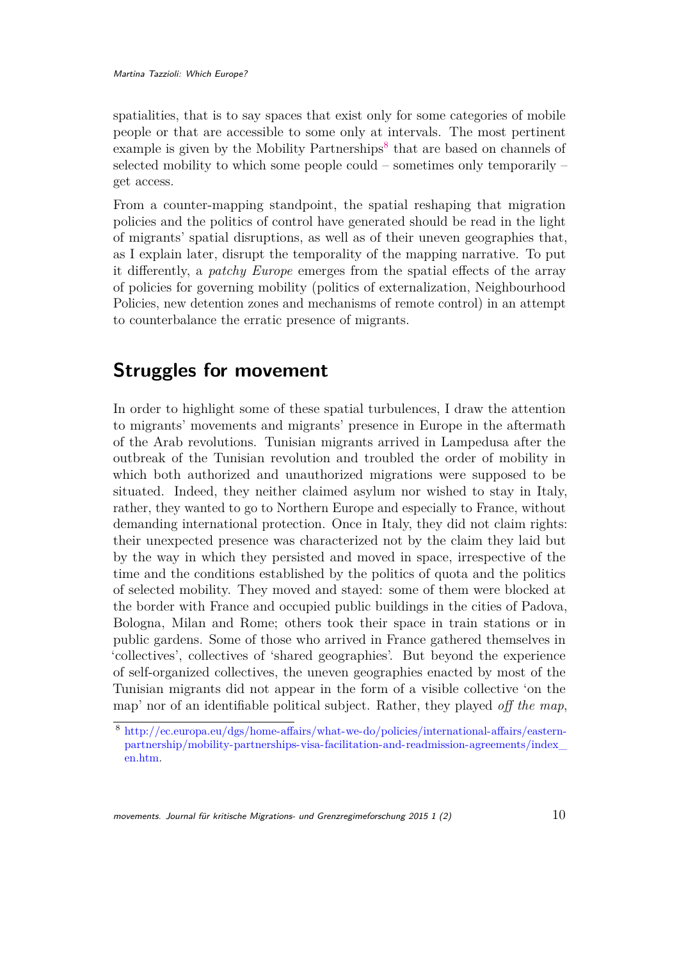spatialities, that is to say spaces that exist only for some categories of mobile people or that are accessible to some only at intervals. The most pertinent example is given by the Mobility Partnerships<sup>[8](#page-9-0)</sup> that are based on channels of selected mobility to which some people could – sometimes only temporarily – get access.

From a counter-mapping standpoint, the spatial reshaping that migration policies and the politics of control have generated should be read in the light of migrants' spatial disruptions, as well as of their uneven geographies that, as I explain later, disrupt the temporality of the mapping narrative. To put it differently, a *patchy Europe* emerges from the spatial effects of the array of policies for governing mobility (politics of externalization, Neighbourhood Policies, new detention zones and mechanisms of remote control) in an attempt to counterbalance the erratic presence of migrants.

## **Struggles for movement**

In order to highlight some of these spatial turbulences, I draw the attention to migrants' movements and migrants' presence in Europe in the aftermath of the Arab revolutions. Tunisian migrants arrived in Lampedusa after the outbreak of the Tunisian revolution and troubled the order of mobility in which both authorized and unauthorized migrations were supposed to be situated. Indeed, they neither claimed asylum nor wished to stay in Italy, rather, they wanted to go to Northern Europe and especially to France, without demanding international protection. Once in Italy, they did not claim rights: their unexpected presence was characterized not by the claim they laid but by the way in which they persisted and moved in space, irrespective of the time and the conditions established by the politics of quota and the politics of selected mobility. They moved and stayed: some of them were blocked at the border with France and occupied public buildings in the cities of Padova, Bologna, Milan and Rome; others took their space in train stations or in public gardens. Some of those who arrived in France gathered themselves in 'collectives', collectives of 'shared geographies'. But beyond the experience of self-organized collectives, the uneven geographies enacted by most of the Tunisian migrants did not appear in the form of a visible collective 'on the map' nor of an identifiable political subject. Rather, they played *off the map*,

movements. Journal für kritische Migrations- und Grenzregimeforschung 2015 1 (2)  $10$ 

<span id="page-9-0"></span><sup>8</sup> [http://ec.europa.eu/dgs/home-affairs/what-we-do/policies/international-affairs/eastern](http://ec.europa.eu/dgs/home-affairs/what-we-do/policies/international-affairs/eastern-partnership/mobility-partnerships-visa-facilitation-and-readmission-agreements/index_en.htm)[partnership/mobility-partnerships-visa-facilitation-and-readmission-agreements/index\\_](http://ec.europa.eu/dgs/home-affairs/what-we-do/policies/international-affairs/eastern-partnership/mobility-partnerships-visa-facilitation-and-readmission-agreements/index_en.htm) [en.htm.](http://ec.europa.eu/dgs/home-affairs/what-we-do/policies/international-affairs/eastern-partnership/mobility-partnerships-visa-facilitation-and-readmission-agreements/index_en.htm)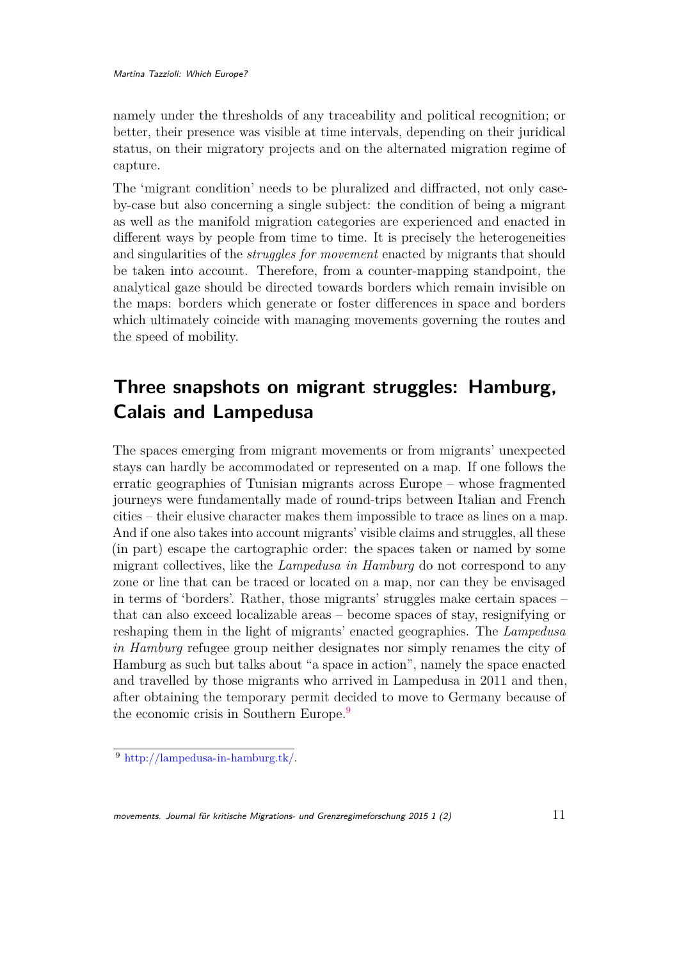namely under the thresholds of any traceability and political recognition; or better, their presence was visible at time intervals, depending on their juridical status, on their migratory projects and on the alternated migration regime of capture.

The 'migrant condition' needs to be pluralized and diffracted, not only caseby-case but also concerning a single subject: the condition of being a migrant as well as the manifold migration categories are experienced and enacted in different ways by people from time to time. It is precisely the heterogeneities and singularities of the *struggles for movement* enacted by migrants that should be taken into account. Therefore, from a counter-mapping standpoint, the analytical gaze should be directed towards borders which remain invisible on the maps: borders which generate or foster differences in space and borders which ultimately coincide with managing movements governing the routes and the speed of mobility.

# **Three snapshots on migrant struggles: Hamburg, Calais and Lampedusa**

The spaces emerging from migrant movements or from migrants' unexpected stays can hardly be accommodated or represented on a map. If one follows the erratic geographies of Tunisian migrants across Europe – whose fragmented journeys were fundamentally made of round-trips between Italian and French cities – their elusive character makes them impossible to trace as lines on a map. And if one also takes into account migrants' visible claims and struggles, all these (in part) escape the cartographic order: the spaces taken or named by some migrant collectives, like the *Lampedusa in Hamburg* do not correspond to any zone or line that can be traced or located on a map, nor can they be envisaged in terms of 'borders'. Rather, those migrants' struggles make certain spaces – that can also exceed localizable areas – become spaces of stay, resignifying or reshaping them in the light of migrants' enacted geographies. The *Lampedusa in Hamburg* refugee group neither designates nor simply renames the city of Hamburg as such but talks about "a space in action", namely the space enacted and travelled by those migrants who arrived in Lampedusa in 2011 and then, after obtaining the temporary permit decided to move to Germany because of the economic crisis in Southern Europe.<sup>[9](#page-10-0)</sup>

<span id="page-10-0"></span><sup>9</sup> [http://lampedusa-in-hamburg.tk/.](http://lampedusa-in-hamburg.tk/)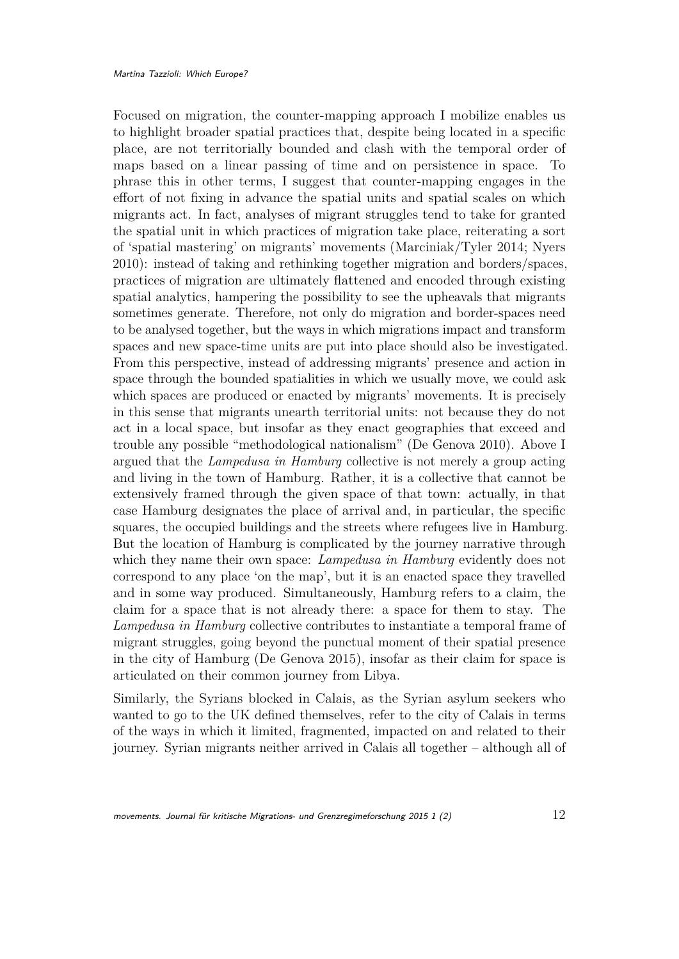Focused on migration, the counter-mapping approach I mobilize enables us to highlight broader spatial practices that, despite being located in a specific place, are not territorially bounded and clash with the temporal order of maps based on a linear passing of time and on persistence in space. To phrase this in other terms, I suggest that counter-mapping engages in the effort of not fixing in advance the spatial units and spatial scales on which migrants act. In fact, analyses of migrant struggles tend to take for granted the spatial unit in which practices of migration take place, reiterating a sort of 'spatial mastering' on migrants' movements (Marciniak/Tyler 2014; Nyers 2010): instead of taking and rethinking together migration and borders/spaces, practices of migration are ultimately flattened and encoded through existing spatial analytics, hampering the possibility to see the upheavals that migrants sometimes generate. Therefore, not only do migration and border-spaces need to be analysed together, but the ways in which migrations impact and transform spaces and new space-time units are put into place should also be investigated. From this perspective, instead of addressing migrants' presence and action in space through the bounded spatialities in which we usually move, we could ask which spaces are produced or enacted by migrants' movements. It is precisely in this sense that migrants unearth territorial units: not because they do not act in a local space, but insofar as they enact geographies that exceed and trouble any possible "methodological nationalism" (De Genova 2010). Above I argued that the *Lampedusa in Hamburg* collective is not merely a group acting and living in the town of Hamburg. Rather, it is a collective that cannot be extensively framed through the given space of that town: actually, in that case Hamburg designates the place of arrival and, in particular, the specific squares, the occupied buildings and the streets where refugees live in Hamburg. But the location of Hamburg is complicated by the journey narrative through which they name their own space: *Lampedusa in Hamburg* evidently does not correspond to any place 'on the map', but it is an enacted space they travelled and in some way produced. Simultaneously, Hamburg refers to a claim, the claim for a space that is not already there: a space for them to stay. The *Lampedusa in Hamburg* collective contributes to instantiate a temporal frame of migrant struggles, going beyond the punctual moment of their spatial presence in the city of Hamburg (De Genova 2015), insofar as their claim for space is articulated on their common journey from Libya.

Similarly, the Syrians blocked in Calais, as the Syrian asylum seekers who wanted to go to the UK defined themselves, refer to the city of Calais in terms of the ways in which it limited, fragmented, impacted on and related to their journey. Syrian migrants neither arrived in Calais all together – although all of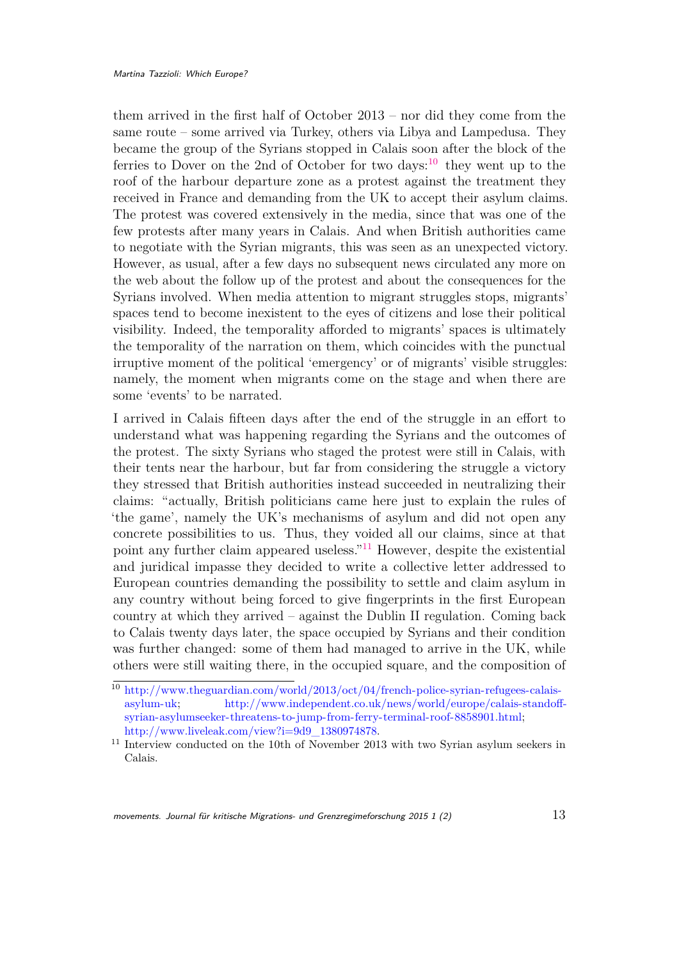them arrived in the first half of October 2013 – nor did they come from the same route – some arrived via Turkey, others via Libya and Lampedusa. They became the group of the Syrians stopped in Calais soon after the block of the ferries to Dover on the 2nd of October for two days: $^{10}$  $^{10}$  $^{10}$  they went up to the roof of the harbour departure zone as a protest against the treatment they received in France and demanding from the UK to accept their asylum claims. The protest was covered extensively in the media, since that was one of the few protests after many years in Calais. And when British authorities came to negotiate with the Syrian migrants, this was seen as an unexpected victory. However, as usual, after a few days no subsequent news circulated any more on the web about the follow up of the protest and about the consequences for the Syrians involved. When media attention to migrant struggles stops, migrants' spaces tend to become inexistent to the eyes of citizens and lose their political visibility. Indeed, the temporality afforded to migrants' spaces is ultimately the temporality of the narration on them, which coincides with the punctual irruptive moment of the political 'emergency' or of migrants' visible struggles: namely, the moment when migrants come on the stage and when there are some 'events' to be narrated.

I arrived in Calais fifteen days after the end of the struggle in an effort to understand what was happening regarding the Syrians and the outcomes of the protest. The sixty Syrians who staged the protest were still in Calais, with their tents near the harbour, but far from considering the struggle a victory they stressed that British authorities instead succeeded in neutralizing their claims: "actually, British politicians came here just to explain the rules of 'the game', namely the UK's mechanisms of asylum and did not open any concrete possibilities to us. Thus, they voided all our claims, since at that point any further claim appeared useless."[11](#page-12-1) However, despite the existential and juridical impasse they decided to write a collective letter addressed to European countries demanding the possibility to settle and claim asylum in any country without being forced to give fingerprints in the first European country at which they arrived – against the Dublin II regulation. Coming back to Calais twenty days later, the space occupied by Syrians and their condition was further changed: some of them had managed to arrive in the UK, while others were still waiting there, in the occupied square, and the composition of

movements. Journal für kritische Migrations- und Grenzregimeforschung 2015 1 (2)  $\qquad \qquad 13$ 

<span id="page-12-0"></span><sup>10</sup> [http://www.theguardian.com/world/2013/oct/04/french-police-syrian-refugees-calais](http://www.theguardian.com/world/2013/oct/04/french-police-syrian-refugees-calais-asylum-uk)[asylum-uk;](http://www.theguardian.com/world/2013/oct/04/french-police-syrian-refugees-calais-asylum-uk) [http://www.independent.co.uk/news/world/europe/calais-standoff](http://www.independent.co.uk/news/world/europe/calais-standoff-syrian-asylumseeker-threatens-to-jump-from-ferry-terminal-roof-8858901.html)[syrian-asylumseeker-threatens-to-jump-from-ferry-terminal-roof-8858901.html;](http://www.independent.co.uk/news/world/europe/calais-standoff-syrian-asylumseeker-threatens-to-jump-from-ferry-terminal-roof-8858901.html) [http://www.liveleak.com/view?i=9d9\\_1380974878.](http://www.liveleak.com/view?i=9d9_1380974878)

<span id="page-12-1"></span><sup>&</sup>lt;sup>11</sup> Interview conducted on the 10th of November 2013 with two Syrian asylum seekers in Calais.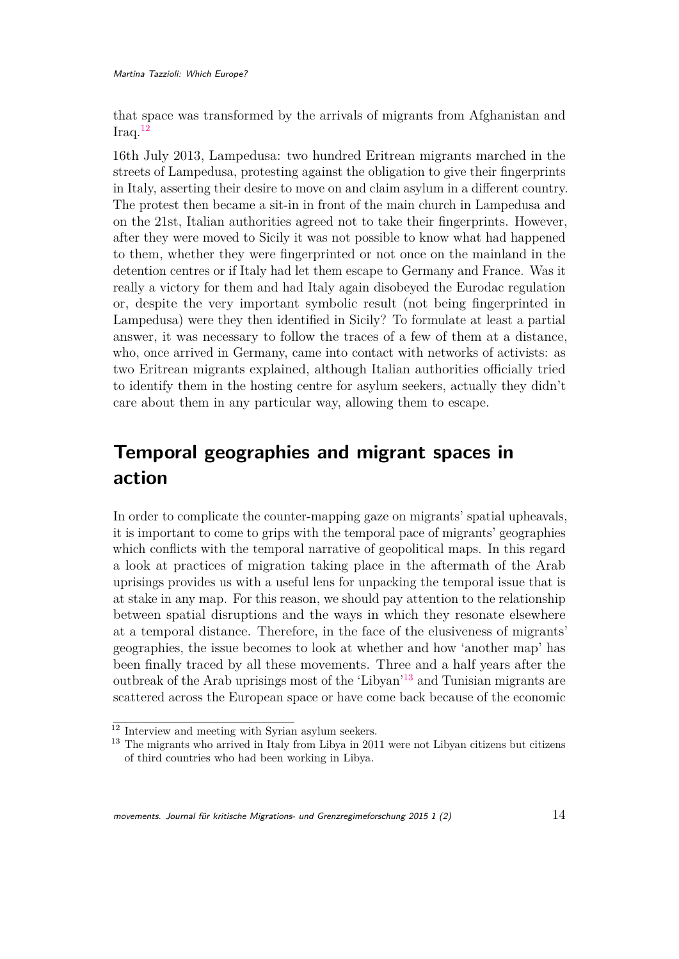that space was transformed by the arrivals of migrants from Afghanistan and  $Iraq.$ <sup>[12](#page-13-0)</sup>

16th July 2013, Lampedusa: two hundred Eritrean migrants marched in the streets of Lampedusa, protesting against the obligation to give their fingerprints in Italy, asserting their desire to move on and claim asylum in a different country. The protest then became a sit-in in front of the main church in Lampedusa and on the 21st, Italian authorities agreed not to take their fingerprints. However, after they were moved to Sicily it was not possible to know what had happened to them, whether they were fingerprinted or not once on the mainland in the detention centres or if Italy had let them escape to Germany and France. Was it really a victory for them and had Italy again disobeyed the Eurodac regulation or, despite the very important symbolic result (not being fingerprinted in Lampedusa) were they then identified in Sicily? To formulate at least a partial answer, it was necessary to follow the traces of a few of them at a distance, who, once arrived in Germany, came into contact with networks of activists: as two Eritrean migrants explained, although Italian authorities officially tried to identify them in the hosting centre for asylum seekers, actually they didn't care about them in any particular way, allowing them to escape.

# **Temporal geographies and migrant spaces in action**

In order to complicate the counter-mapping gaze on migrants' spatial upheavals, it is important to come to grips with the temporal pace of migrants' geographies which conflicts with the temporal narrative of geopolitical maps. In this regard a look at practices of migration taking place in the aftermath of the Arab uprisings provides us with a useful lens for unpacking the temporal issue that is at stake in any map. For this reason, we should pay attention to the relationship between spatial disruptions and the ways in which they resonate elsewhere at a temporal distance. Therefore, in the face of the elusiveness of migrants' geographies, the issue becomes to look at whether and how 'another map' has been finally traced by all these movements. Three and a half years after the outbreak of the Arab uprisings most of the 'Libyan'[13](#page-13-1) and Tunisian migrants are scattered across the European space or have come back because of the economic

<span id="page-13-0"></span> $12$  Interview and meeting with Syrian asylum seekers.

<span id="page-13-1"></span><sup>&</sup>lt;sup>13</sup> The migrants who arrived in Italy from Libya in 2011 were not Libyan citizens but citizens of third countries who had been working in Libya.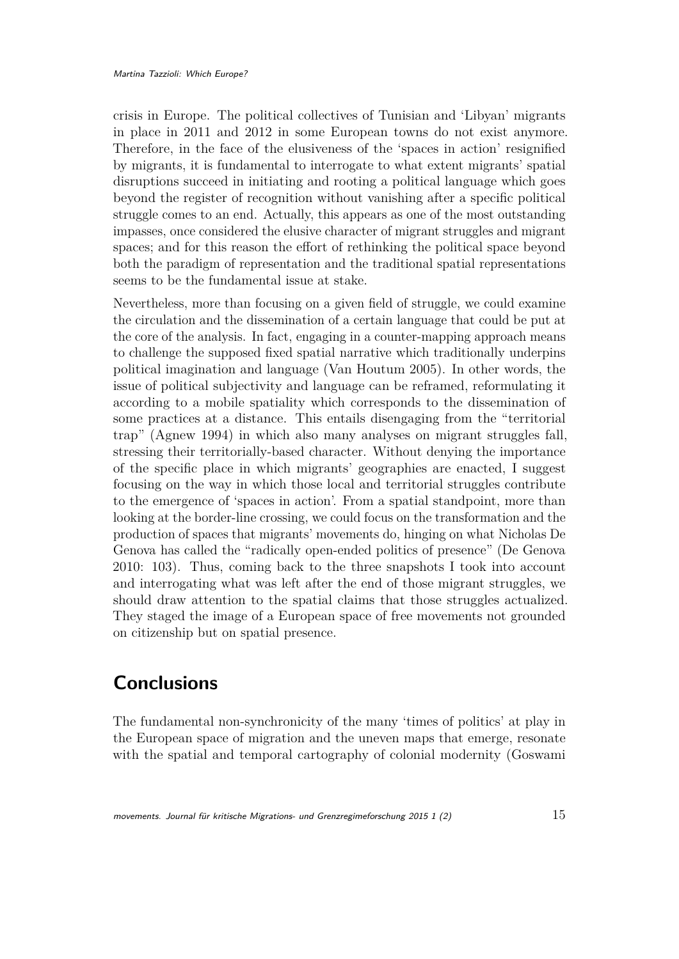crisis in Europe. The political collectives of Tunisian and 'Libyan' migrants in place in 2011 and 2012 in some European towns do not exist anymore. Therefore, in the face of the elusiveness of the 'spaces in action' resignified by migrants, it is fundamental to interrogate to what extent migrants' spatial disruptions succeed in initiating and rooting a political language which goes beyond the register of recognition without vanishing after a specific political struggle comes to an end. Actually, this appears as one of the most outstanding impasses, once considered the elusive character of migrant struggles and migrant spaces; and for this reason the effort of rethinking the political space beyond both the paradigm of representation and the traditional spatial representations seems to be the fundamental issue at stake.

Nevertheless, more than focusing on a given field of struggle, we could examine the circulation and the dissemination of a certain language that could be put at the core of the analysis. In fact, engaging in a counter-mapping approach means to challenge the supposed fixed spatial narrative which traditionally underpins political imagination and language (Van Houtum 2005). In other words, the issue of political subjectivity and language can be reframed, reformulating it according to a mobile spatiality which corresponds to the dissemination of some practices at a distance. This entails disengaging from the "territorial trap" (Agnew 1994) in which also many analyses on migrant struggles fall, stressing their territorially-based character. Without denying the importance of the specific place in which migrants' geographies are enacted, I suggest focusing on the way in which those local and territorial struggles contribute to the emergence of 'spaces in action'. From a spatial standpoint, more than looking at the border-line crossing, we could focus on the transformation and the production of spaces that migrants' movements do, hinging on what Nicholas De Genova has called the "radically open-ended politics of presence" (De Genova 2010: 103). Thus, coming back to the three snapshots I took into account and interrogating what was left after the end of those migrant struggles, we should draw attention to the spatial claims that those struggles actualized. They staged the image of a European space of free movements not grounded on citizenship but on spatial presence.

### **Conclusions**

The fundamental non-synchronicity of the many 'times of politics' at play in the European space of migration and the uneven maps that emerge, resonate with the spatial and temporal cartography of colonial modernity (Goswami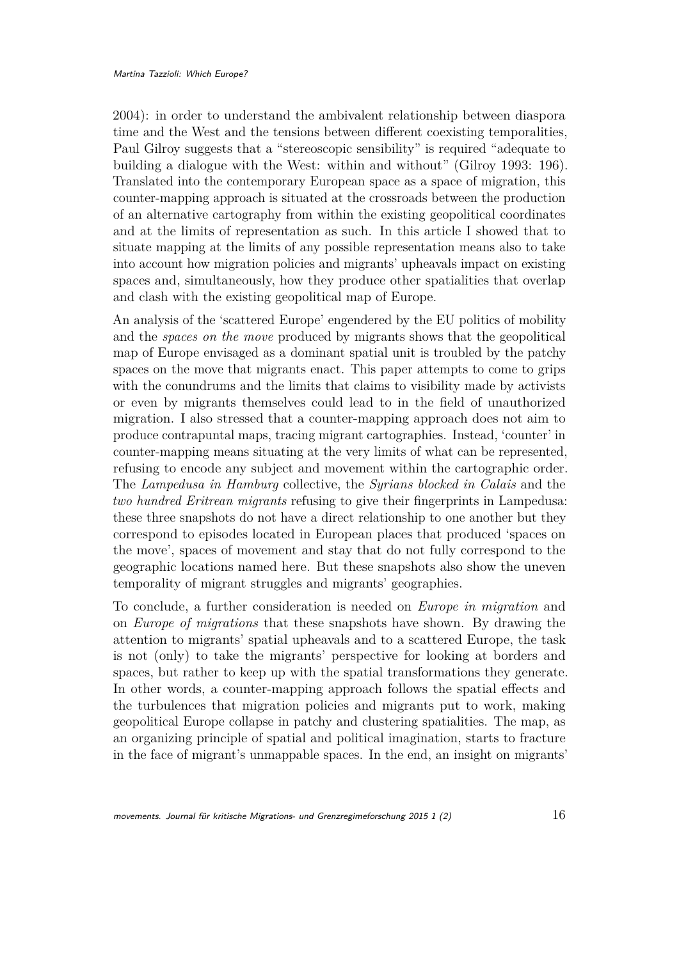2004): in order to understand the ambivalent relationship between diaspora time and the West and the tensions between different coexisting temporalities, Paul Gilroy suggests that a "stereoscopic sensibility" is required "adequate to building a dialogue with the West: within and without" (Gilroy 1993: 196). Translated into the contemporary European space as a space of migration, this counter-mapping approach is situated at the crossroads between the production of an alternative cartography from within the existing geopolitical coordinates and at the limits of representation as such. In this article I showed that to situate mapping at the limits of any possible representation means also to take into account how migration policies and migrants' upheavals impact on existing spaces and, simultaneously, how they produce other spatialities that overlap and clash with the existing geopolitical map of Europe.

An analysis of the 'scattered Europe' engendered by the EU politics of mobility and the *spaces on the move* produced by migrants shows that the geopolitical map of Europe envisaged as a dominant spatial unit is troubled by the patchy spaces on the move that migrants enact. This paper attempts to come to grips with the conundrums and the limits that claims to visibility made by activists or even by migrants themselves could lead to in the field of unauthorized migration. I also stressed that a counter-mapping approach does not aim to produce contrapuntal maps, tracing migrant cartographies. Instead, 'counter' in counter-mapping means situating at the very limits of what can be represented, refusing to encode any subject and movement within the cartographic order. The *Lampedusa in Hamburg* collective, the *Syrians blocked in Calais* and the *two hundred Eritrean migrants* refusing to give their fingerprints in Lampedusa: these three snapshots do not have a direct relationship to one another but they correspond to episodes located in European places that produced 'spaces on the move', spaces of movement and stay that do not fully correspond to the geographic locations named here. But these snapshots also show the uneven temporality of migrant struggles and migrants' geographies.

To conclude, a further consideration is needed on *Europe in migration* and on *Europe of migrations* that these snapshots have shown. By drawing the attention to migrants' spatial upheavals and to a scattered Europe, the task is not (only) to take the migrants' perspective for looking at borders and spaces, but rather to keep up with the spatial transformations they generate. In other words, a counter-mapping approach follows the spatial effects and the turbulences that migration policies and migrants put to work, making geopolitical Europe collapse in patchy and clustering spatialities. The map, as an organizing principle of spatial and political imagination, starts to fracture in the face of migrant's unmappable spaces. In the end, an insight on migrants'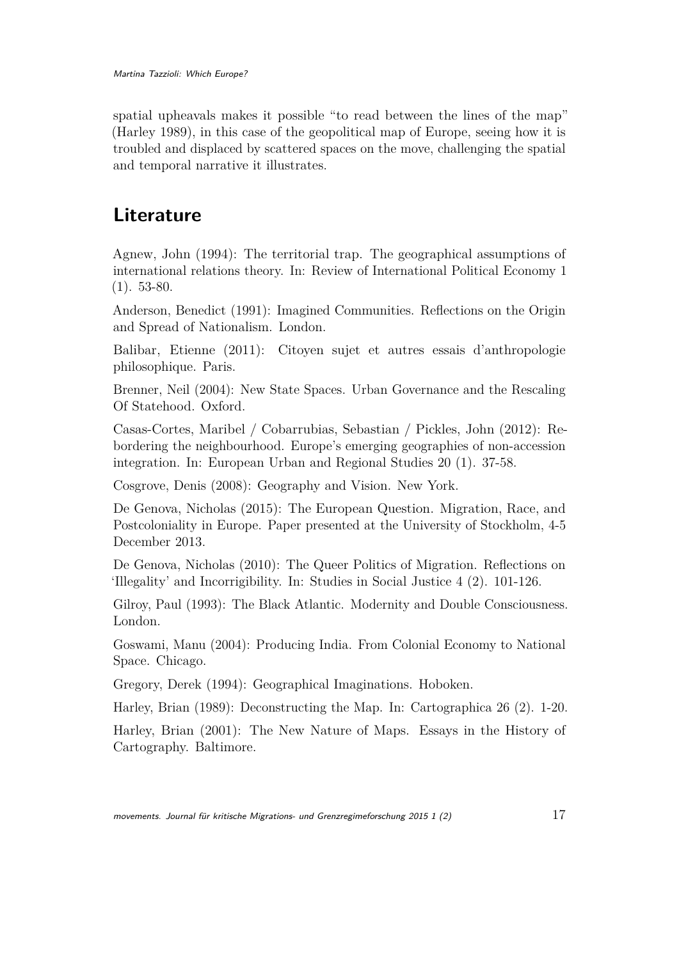Martina Tazzioli: Which Europe?

spatial upheavals makes it possible "to read between the lines of the map" (Harley 1989), in this case of the geopolitical map of Europe, seeing how it is troubled and displaced by scattered spaces on the move, challenging the spatial and temporal narrative it illustrates.

# **Literature**

Agnew, John (1994): The territorial trap. The geographical assumptions of international relations theory. In: Review of International Political Economy 1 (1). 53-80.

Anderson, Benedict (1991): Imagined Communities. Reflections on the Origin and Spread of Nationalism. London.

Balibar, Etienne (2011): Citoyen sujet et autres essais d'anthropologie philosophique. Paris.

Brenner, Neil (2004): New State Spaces. Urban Governance and the Rescaling Of Statehood. Oxford.

Casas-Cortes, Maribel / Cobarrubias, Sebastian / Pickles, John (2012): Rebordering the neighbourhood. Europe's emerging geographies of non-accession integration. In: European Urban and Regional Studies 20 (1). 37-58.

Cosgrove, Denis (2008): Geography and Vision. New York.

De Genova, Nicholas (2015): The European Question. Migration, Race, and Postcoloniality in Europe. Paper presented at the University of Stockholm, 4-5 December 2013.

De Genova, Nicholas (2010): The Queer Politics of Migration. Reflections on 'Illegality' and Incorrigibility. In: Studies in Social Justice 4 (2). 101-126.

Gilroy, Paul (1993): The Black Atlantic. Modernity and Double Consciousness. London.

Goswami, Manu (2004): Producing India. From Colonial Economy to National Space. Chicago.

Gregory, Derek (1994): Geographical Imaginations. Hoboken.

Harley, Brian (1989): Deconstructing the Map. In: Cartographica 26 (2). 1-20.

Harley, Brian (2001): The New Nature of Maps. Essays in the History of Cartography. Baltimore.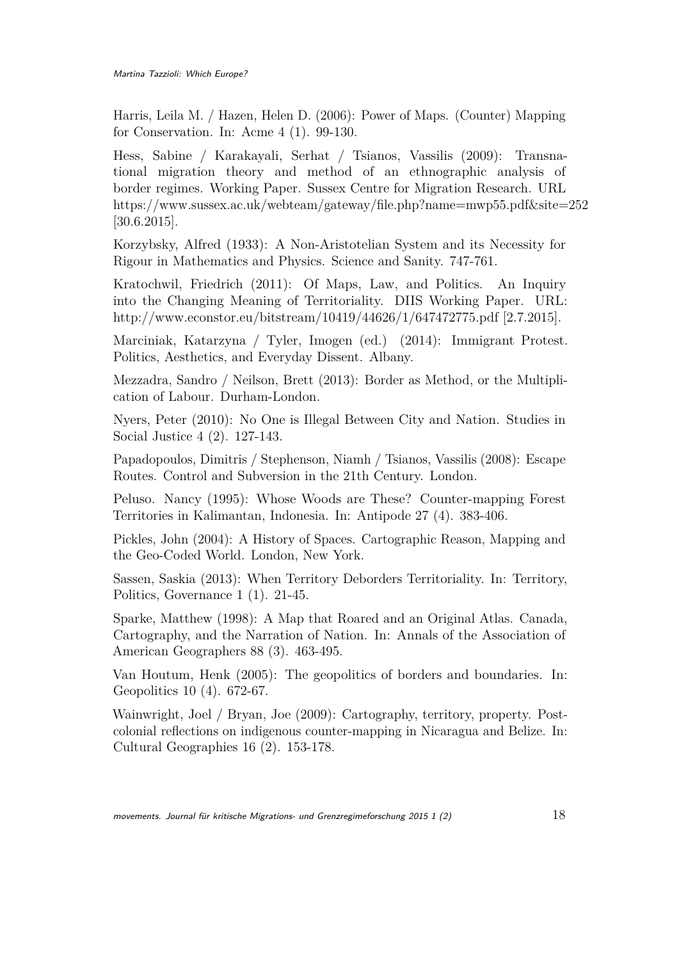Harris, Leila M. / Hazen, Helen D. (2006): Power of Maps. (Counter) Mapping for Conservation. In: Acme 4 (1). 99-130.

Hess, Sabine / Karakayali, Serhat / Tsianos, Vassilis (2009): Transnational migration theory and method of an ethnographic analysis of border regimes. Working Paper. Sussex Centre for Migration Research. URL https://www.sussex.ac.uk/webteam/gateway/file.php?name=mwp55.pdf&site=252 [30.6.2015].

Korzybsky, Alfred (1933): A Non-Aristotelian System and its Necessity for Rigour in Mathematics and Physics. Science and Sanity. 747-761.

Kratochwil, Friedrich (2011): Of Maps, Law, and Politics. An Inquiry into the Changing Meaning of Territoriality. DIIS Working Paper. URL: http://www.econstor.eu/bitstream/10419/44626/1/647472775.pdf [2.7.2015].

Marciniak, Katarzyna / Tyler, Imogen (ed.) (2014): Immigrant Protest. Politics, Aesthetics, and Everyday Dissent. Albany.

Mezzadra, Sandro / Neilson, Brett (2013): Border as Method, or the Multiplication of Labour. Durham-London.

Nyers, Peter (2010): No One is Illegal Between City and Nation. Studies in Social Justice 4 (2). 127-143.

Papadopoulos, Dimitris / Stephenson, Niamh / Tsianos, Vassilis (2008): Escape Routes. Control and Subversion in the 21th Century. London.

Peluso. Nancy (1995): Whose Woods are These? Counter-mapping Forest Territories in Kalimantan, Indonesia. In: Antipode 27 (4). 383-406.

Pickles, John (2004): A History of Spaces. Cartographic Reason, Mapping and the Geo-Coded World. London, New York.

Sassen, Saskia (2013): When Territory Deborders Territoriality. In: Territory, Politics, Governance 1 (1). 21-45.

Sparke, Matthew (1998): A Map that Roared and an Original Atlas. Canada, Cartography, and the Narration of Nation. In: Annals of the Association of American Geographers 88 (3). 463-495.

Van Houtum, Henk (2005): The geopolitics of borders and boundaries. In: Geopolitics 10 (4). 672-67.

Wainwright, Joel / Bryan, Joe (2009): Cartography, territory, property. Postcolonial reflections on indigenous counter-mapping in Nicaragua and Belize. In: Cultural Geographies 16 (2). 153-178.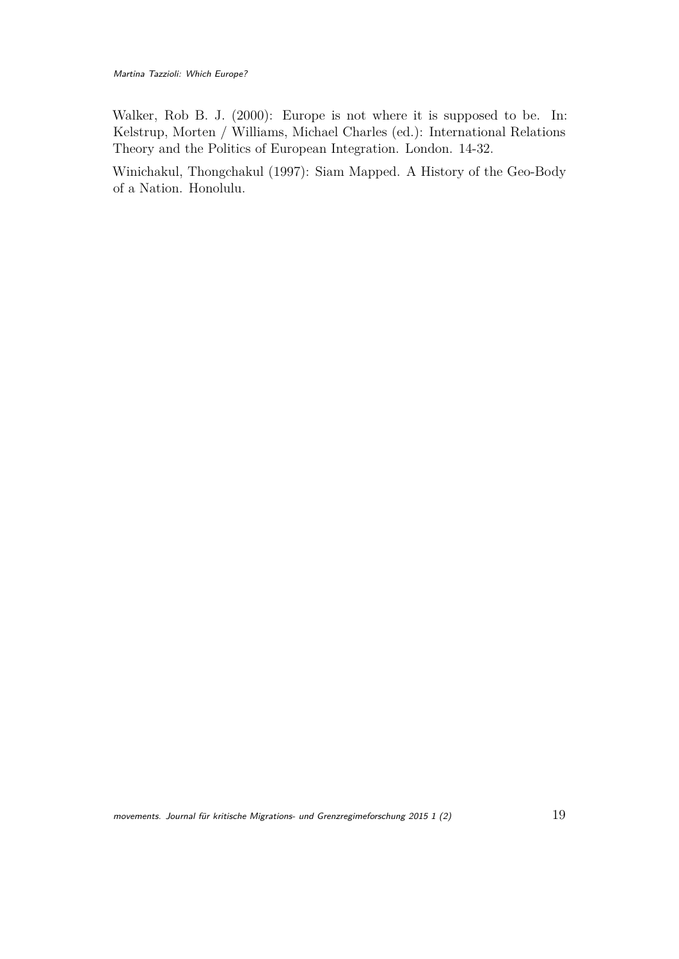Walker, Rob B. J. (2000): Europe is not where it is supposed to be. In: Kelstrup, Morten / Williams, Michael Charles (ed.): International Relations Theory and the Politics of European Integration. London. 14-32.

Winichakul, Thongchakul (1997): Siam Mapped. A History of the Geo-Body of a Nation. Honolulu.